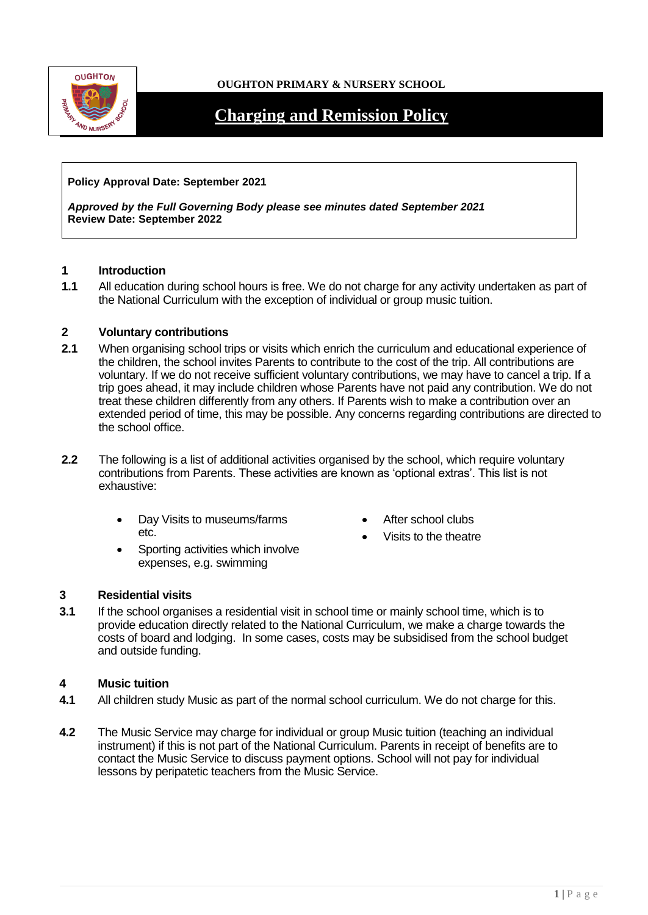

# **OUGHTON PRIMARY & NURSERY SCHOOL**

# **Charging and Remission Policy**

## **Policy Approval Date: September 2021**

*Approved by the Full Governing Body please see minutes dated September 2021* **Review Date: September 2022**

## **1 Introduction**

**1.1** All education during school hours is free. We do not charge for any activity undertaken as part of the National Curriculum with the exception of individual or group music tuition.

#### **2 Voluntary contributions**

- **2.1** When organising school trips or visits which enrich the curriculum and educational experience of the children, the school invites Parents to contribute to the cost of the trip. All contributions are voluntary. If we do not receive sufficient voluntary contributions, we may have to cancel a trip. If a trip goes ahead, it may include children whose Parents have not paid any contribution. We do not treat these children differently from any others. If Parents wish to make a contribution over an extended period of time, this may be possible. Any concerns regarding contributions are directed to the school office.
- **2.2** The following is a list of additional activities organised by the school, which require voluntary contributions from Parents. These activities are known as 'optional extras'. This list is not exhaustive:
	- Day Visits to museums/farms etc.
	- Sporting activities which involve expenses, e.g. swimming
- After school clubs
- Visits to the theatre

## **3 Residential visits**

**3.1** If the school organises a residential visit in school time or mainly school time, which is to provide education directly related to the National Curriculum, we make a charge towards the costs of board and lodging. In some cases, costs may be subsidised from the school budget and outside funding.

## **4 Music tuition**

- **4.1** All children study Music as part of the normal school curriculum. We do not charge for this.
- **4.2** The Music Service may charge for individual or group Music tuition (teaching an individual instrument) if this is not part of the National Curriculum. Parents in receipt of benefits are to contact the Music Service to discuss payment options. School will not pay for individual lessons by peripatetic teachers from the Music Service.